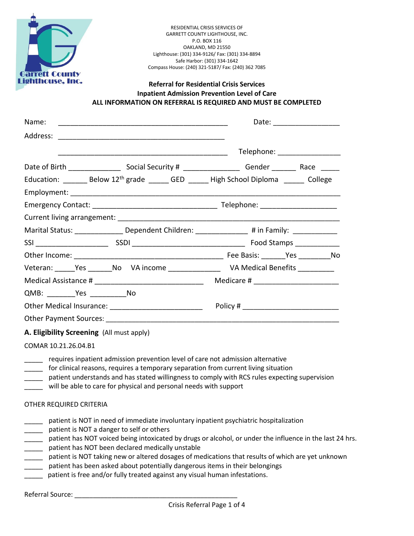

RESIDENTIAL CRISIS SERVICES OF GARRETT COUNTY LIGHTHOUSE, INC. P.O. BOX 116 OAKLAND, MD 21550 Lighthouse: (301) 334-9126/ Fax: (301) 334-8894 Safe Harbor: (301) 334-1642 Compass House: (240) 321-5187/ Fax: (240) 362 7085

## **Referral for Residential Crisis Services Inpatient Admission Prevention Level of Care ALL INFORMATION ON REFERRAL IS REQUIRED AND MUST BE COMPLETED**

| Name:                                                                                             | Date: __________________                                                                            |
|---------------------------------------------------------------------------------------------------|-----------------------------------------------------------------------------------------------------|
|                                                                                                   |                                                                                                     |
|                                                                                                   | Telephone: _________________                                                                        |
|                                                                                                   |                                                                                                     |
| Education: ______ Below $12^{th}$ grade _____ GED _____ High School Diploma $\frac{1}{2}$ College |                                                                                                     |
|                                                                                                   |                                                                                                     |
|                                                                                                   |                                                                                                     |
|                                                                                                   |                                                                                                     |
|                                                                                                   | Marital Status: ____________________Dependent Children: _________________# in Family: _____________ |
|                                                                                                   |                                                                                                     |
|                                                                                                   |                                                                                                     |
|                                                                                                   |                                                                                                     |
| Medical Assistance # __________________________________                                           | Medicare # __________________________                                                               |
|                                                                                                   |                                                                                                     |
| Other Medical Insurance: _____________________________                                            |                                                                                                     |
|                                                                                                   |                                                                                                     |
| A. Eligibility Screening (All must apply)                                                         |                                                                                                     |

COMAR 10.21.26.04.B1

- requires inpatient admission prevention level of care not admission alternative
- \_\_\_\_\_ for clinical reasons, requires a temporary separation from current living situation
- patient understands and has stated willingness to comply with RCS rules expecting supervision
- will be able to care for physical and personal needs with support

## OTHER REQUIRED CRITERIA

- \_\_\_\_\_ patient is NOT in need of immediate involuntary inpatient psychiatric hospitalization
- \_\_\_\_\_ patient is NOT a danger to self or others
- patient has NOT voiced being intoxicated by drugs or alcohol, or under the influence in the last 24 hrs.
- \_\_\_\_\_ patient has NOT been declared medically unstable
- \_\_\_\_\_ patient is NOT taking new or altered dosages of medications that results of which are yet unknown
- patient has been asked about potentially dangerous items in their belongings
- patient is free and/or fully treated against any visual human infestations.

Referral Source: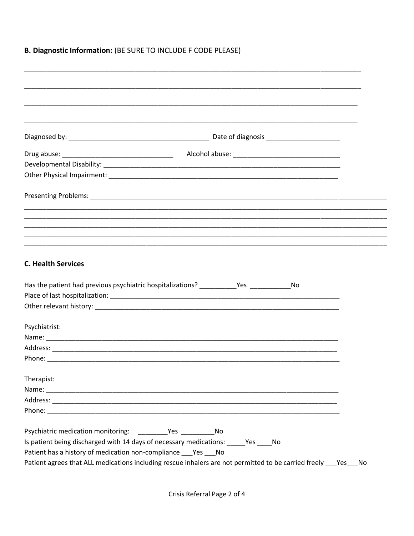## **B. Diagnostic Information: (BE SURE TO INCLUDE F CODE PLEASE)**

| <b>C. Health Services</b>                                                                                                              |                                                                                               |  |
|----------------------------------------------------------------------------------------------------------------------------------------|-----------------------------------------------------------------------------------------------|--|
|                                                                                                                                        | Has the patient had previous psychiatric hospitalizations? ____________Yes ________________No |  |
|                                                                                                                                        |                                                                                               |  |
|                                                                                                                                        |                                                                                               |  |
| Psychiatrist:                                                                                                                          |                                                                                               |  |
|                                                                                                                                        |                                                                                               |  |
|                                                                                                                                        |                                                                                               |  |
|                                                                                                                                        |                                                                                               |  |
|                                                                                                                                        |                                                                                               |  |
|                                                                                                                                        |                                                                                               |  |
|                                                                                                                                        |                                                                                               |  |
|                                                                                                                                        |                                                                                               |  |
|                                                                                                                                        |                                                                                               |  |
| Therapist:                                                                                                                             |                                                                                               |  |
|                                                                                                                                        |                                                                                               |  |
|                                                                                                                                        |                                                                                               |  |
| Psychiatric medication monitoring: __________Yes ______________No<br>Patient has a history of medication non-compliance ___ Yes ___ No | Is patient being discharged with 14 days of necessary medications: _____Yes ____No            |  |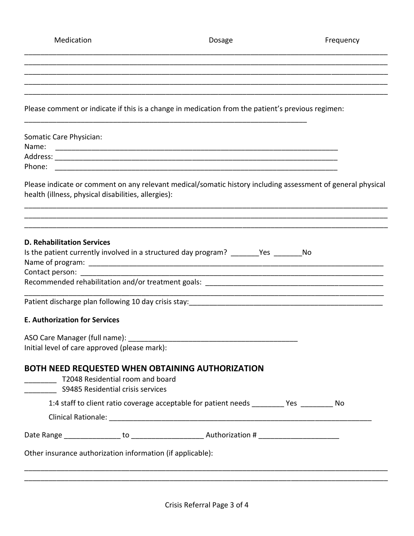Medication **Medication** Dosage **Frequency** 

\_\_\_\_\_\_\_\_\_\_\_\_\_\_\_\_\_\_\_\_\_\_\_\_\_\_\_\_\_\_\_\_\_\_\_\_\_\_\_\_\_\_\_\_\_\_\_\_\_\_\_\_\_\_\_\_\_\_\_\_\_\_\_\_\_\_\_\_\_\_\_\_\_\_\_\_\_\_\_\_\_\_\_\_\_\_\_\_\_\_ \_\_\_\_\_\_\_\_\_\_\_\_\_\_\_\_\_\_\_\_\_\_\_\_\_\_\_\_\_\_\_\_\_\_\_\_\_\_\_\_\_\_\_\_\_\_\_\_\_\_\_\_\_\_\_\_\_\_\_\_\_\_\_\_\_\_\_\_\_\_\_\_\_\_\_\_\_\_\_\_\_\_\_\_\_\_\_\_\_\_

|                                                                                                                 | <u> 1980 - Johann Barn, mars an t-Amerikaansk politiker (* 1908)</u>  |                                                                                                   |                                                                                                             |
|-----------------------------------------------------------------------------------------------------------------|-----------------------------------------------------------------------|---------------------------------------------------------------------------------------------------|-------------------------------------------------------------------------------------------------------------|
|                                                                                                                 |                                                                       | Please comment or indicate if this is a change in medication from the patient's previous regimen: |                                                                                                             |
| Somatic Care Physician:                                                                                         |                                                                       |                                                                                                   |                                                                                                             |
|                                                                                                                 |                                                                       |                                                                                                   |                                                                                                             |
|                                                                                                                 |                                                                       |                                                                                                   |                                                                                                             |
|                                                                                                                 |                                                                       |                                                                                                   |                                                                                                             |
|                                                                                                                 | health (illness, physical disabilities, allergies):                   |                                                                                                   | Please indicate or comment on any relevant medical/somatic history including assessment of general physical |
|                                                                                                                 |                                                                       |                                                                                                   |                                                                                                             |
| <b>D. Rehabilitation Services</b>                                                                               |                                                                       |                                                                                                   |                                                                                                             |
|                                                                                                                 |                                                                       | Is the patient currently involved in a structured day program? _______Yes _______No               |                                                                                                             |
| Contact person: The contact of the contact person in the contact person of the contact of the contact of the co |                                                                       |                                                                                                   |                                                                                                             |
|                                                                                                                 |                                                                       |                                                                                                   |                                                                                                             |
|                                                                                                                 |                                                                       |                                                                                                   |                                                                                                             |
|                                                                                                                 |                                                                       |                                                                                                   |                                                                                                             |
| <b>E. Authorization for Services</b>                                                                            |                                                                       |                                                                                                   |                                                                                                             |
|                                                                                                                 | ASO Care Manager (full name): ____________                            |                                                                                                   |                                                                                                             |
|                                                                                                                 | Initial level of care approved (please mark):                         |                                                                                                   |                                                                                                             |
|                                                                                                                 | T2048 Residential room and board<br>S9485 Residential crisis services | BOTH NEED REQUESTED WHEN OBTAINING AUTHORIZATION                                                  |                                                                                                             |
|                                                                                                                 |                                                                       | 1:4 staff to client ratio coverage acceptable for patient needs _________ Yes ________ No         |                                                                                                             |
|                                                                                                                 |                                                                       |                                                                                                   |                                                                                                             |
|                                                                                                                 |                                                                       |                                                                                                   |                                                                                                             |
|                                                                                                                 | Other insurance authorization information (if applicable):            |                                                                                                   |                                                                                                             |
|                                                                                                                 |                                                                       |                                                                                                   |                                                                                                             |
|                                                                                                                 |                                                                       |                                                                                                   |                                                                                                             |